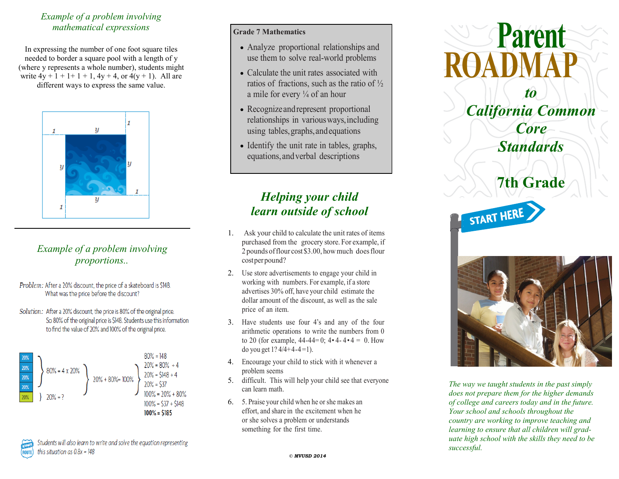### *Example of a problem involving mathematical expressions*

In expressing the number of one foot square tiles needed to border a square pool with a length of y (where y represents a whole number), students might write  $4y + 1 + 1 + 1 + 1$ ,  $4y + 4$ , or  $4(y + 1)$ . All are different ways to express the same value.



## *Example of a problem involving proportions..*

- Problem: After a 20% discount, the price of a skateboard is \$148. What was the price before the discount?
- Solution: After a 20% discount, the price is 80% of the original price. So 80% of the original price is \$148. Students use this information to find the value of 20% and 100% of the original price.



### **Grade 7 Mathematics**

- Analyze proportional relationships and use them to solve real-world problems
- Calculate the unit rates associated with ratios of fractions, such as the ratio of  $\frac{1}{2}$ a mile for every  $\frac{1}{4}$  of an hour
- Recognize and represent proportional relationships in variousways,including using tables, graphs, and equations
- Identify the unit rate in tables, graphs, equations,andverbal descriptions

# *Helping your child learn outside of school*

- 1. Ask your child to calculate the unit rates of items purchased from the grocery store. For example, if 2 pounds offlour cost\$3.00, howmuch doesflour costperpound?
- 2. Use store advertisements to engage your child in working with numbers. For example, if a store advertises 30% off, have your child estimate the dollar amount of the discount, as well as the sale price of an item.
- 3. Have students use four 4's and any of the four arithmetic operations to write the numbers from 0 to 20 (for example,  $44-44=0$ ;  $4 \cdot 4 - 4 \cdot 4 = 0$ . How do you get  $1$ ?  $4/4+4-4=1$ ).
- 4. Encourage your child to stick with it whenever a problem seems
- 5. difficult. This will help your child see that everyone can learn math.
- 6. 5. Praise your child when he or she makes an effort, and share in the excitement when he or she solves a problem or understands something for the first time.



**Parent**

*The way we taught students in the past simply does not prepare them for the higher demands of college and careers today and in the future. Your school and schools throughout the country are working to improve teaching and learning to ensure that all children will graduate high school with the skills they need to be successful.*